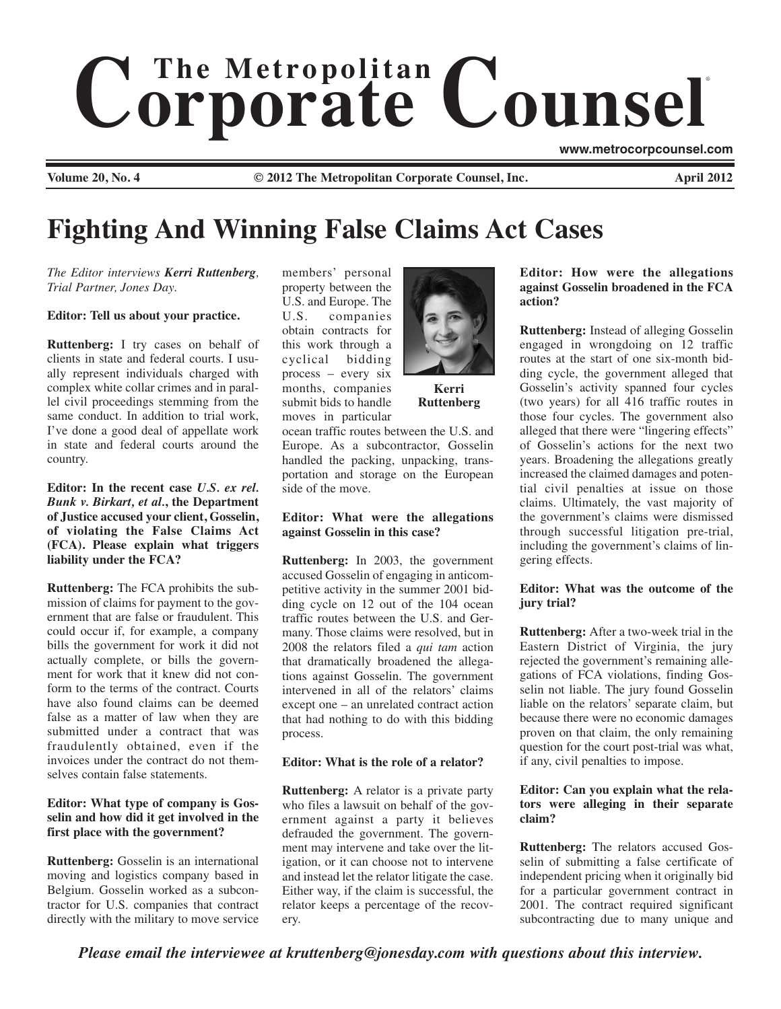# $$ ®

**Volume 20, No. 4 © 2012 The Metropolitan Corporate Counsel, Inc. April 2012**

# **Fighting And Winning False Claims Act Cases**

*The Editor interviews Kerri Ruttenberg, Trial Partner, Jones Day.* 

#### **Editor: Tell us about your practice.**

**Ruttenberg:** I try cases on behalf of clients in state and federal courts. I usually represent individuals charged with complex white collar crimes and in parallel civil proceedings stemming from the same conduct. In addition to trial work, I've done a good deal of appellate work in state and federal courts around the country.

**Editor: In the recent case** *U.S. ex rel. Bunk v. Birkart, et al.***, the Department of Justice accused your client, Gosselin, of violating the False Claims Act (FCA). Please explain what triggers liability under the FCA?** 

**Ruttenberg:** The FCA prohibits the submission of claims for payment to the government that are false or fraudulent. This could occur if, for example, a company bills the government for work it did not actually complete, or bills the government for work that it knew did not conform to the terms of the contract. Courts have also found claims can be deemed false as a matter of law when they are submitted under a contract that was fraudulently obtained, even if the invoices under the contract do not themselves contain false statements.

# **Editor: What type of company is Gosselin and how did it get involved in the first place with the government?**

**Ruttenberg:** Gosselin is an international moving and logistics company based in Belgium. Gosselin worked as a subcontractor for U.S. companies that contract directly with the military to move service members' personal property between the U.S. and Europe. The U.S. companies obtain contracts for this work through a cyclical bidding process – every six months, companies submit bids to handle moves in particular



**Kerri Ruttenberg**

ocean traffic routes between the U.S. and Europe. As a subcontractor, Gosselin handled the packing, unpacking, transportation and storage on the European side of the move.

### **Editor: What were the allegations against Gosselin in this case?**

**Ruttenberg:** In 2003, the government accused Gosselin of engaging in anticompetitive activity in the summer 2001 bidding cycle on 12 out of the 104 ocean traffic routes between the U.S. and Germany. Those claims were resolved, but in 2008 the relators filed a *qui tam* action that dramatically broadened the allegations against Gosselin. The government intervened in all of the relators' claims except one – an unrelated contract action that had nothing to do with this bidding process.

# **Editor: What is the role of a relator?**

**Ruttenberg:** A relator is a private party who files a lawsuit on behalf of the government against a party it believes defrauded the government. The government may intervene and take over the litigation, or it can choose not to intervene and instead let the relator litigate the case. Either way, if the claim is successful, the relator keeps a percentage of the recovery.

**Editor: How were the allegations against Gosselin broadened in the FCA action?** 

**www.metrocorpcounsel.com**

**Ruttenberg:** Instead of alleging Gosselin engaged in wrongdoing on 12 traffic routes at the start of one six-month bidding cycle, the government alleged that Gosselin's activity spanned four cycles (two years) for all 416 traffic routes in those four cycles. The government also alleged that there were "lingering effects" of Gosselin's actions for the next two years. Broadening the allegations greatly increased the claimed damages and potential civil penalties at issue on those claims. Ultimately, the vast majority of the government's claims were dismissed through successful litigation pre-trial, including the government's claims of lingering effects.

# **Editor: What was the outcome of the jury trial?**

**Ruttenberg:** After a two-week trial in the Eastern District of Virginia, the jury rejected the government's remaining allegations of FCA violations, finding Gosselin not liable. The jury found Gosselin liable on the relators' separate claim, but because there were no economic damages proven on that claim, the only remaining question for the court post-trial was what, if any, civil penalties to impose.

# **Editor: Can you explain what the relators were alleging in their separate claim?**

**Ruttenberg:** The relators accused Gosselin of submitting a false certificate of independent pricing when it originally bid for a particular government contract in 2001. The contract required significant subcontracting due to many unique and

*Please email the interviewee at kruttenberg@jonesday.com with questions about this interview.*